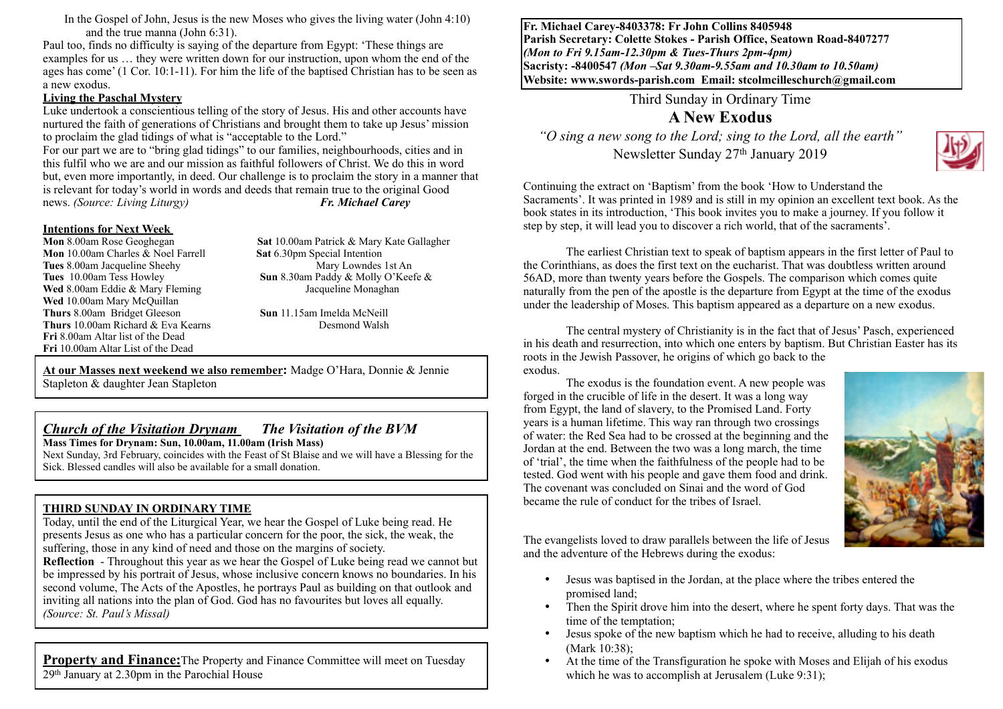In the Gospel of John, Jesus is the new Moses who gives the living water (John 4:10) and the true manna (John 6:31).

Paul too, finds no difficulty is saying of the departure from Egypt: 'These things are examples for us … they were written down for our instruction, upon whom the end of the ages has come' (1 Cor. 10:1-11). For him the life of the baptised Christian has to be seen as a new exodus.

#### **Living the Paschal Mystery**

Luke undertook a conscientious telling of the story of Jesus. His and other accounts have nurtured the faith of generations of Christians and brought them to take up Jesus' mission to proclaim the glad tidings of what is "acceptable to the Lord."

For our part we are to "bring glad tidings" to our families, neighbourhoods, cities and in this fulfil who we are and our mission as faithful followers of Christ. We do this in word but, even more importantly, in deed. Our challenge is to proclaim the story in a manner that is relevant for today's world in words and deeds that remain true to the original Goodnews. (Source: Living Liturgy)  $\boldsymbol{F}$ . Michael Carev news. *(Source: Living Liturgy) Fr. Michael Carey*

# **Intentions for Next Week**

**Mon** 10.00am Charles & Noel Farrell **Sat 6.30pm Special Intention**<br> **Tues 8.00am Jacqueline Sheehy** Mary Lowndes 1st An **Tues** 8.00am Jacqueline Sheehy Wed 8.00am Eddie & Mary Fleming **Jacqueline Monaghan Wed** 10.00am Mary McQuillan **Thurs** 8.00am Bridget Gleeson **Sun** 11.15am Imelda McNeill **Thurs** 10.00am Richard & Eva KearnsDesmond Walsh **Fri** 8.00am Altar list of the Dead **Fri** 10.00am Altar List of the Dead

**Sat** 10.00am Patrick & Mary Kate Gallagher **Tues** 10.00am Tess Howley **Sun** 8.30am Paddy & Molly O'Keefe &

**At our Masses next weekend we also remember:** Madge O'Hara, Donnie & Jennie Stapleton & daughter Jean Stapleton

#### *Church of the Visitation Drynam**The Visitation of the BVM*

**Mass Times for Drynam: Sun, 10.00am, 11.00am (Irish Mass)** 

Next Sunday, 3rd February, coincides with the Feast of St Blaise and we will have a Blessing for the Sick. Blessed candles will also be available for a small donation.

#### **THIRD SUNDAY IN ORDINARY TIME**

Today, until the end of the Liturgical Year, we hear the Gospel of Luke being read. He presents Jesus as one who has a particular concern for the poor, the sick, the weak, the suffering, those in any kind of need and those on the margins of society.

**Reflection** - Throughout this year as we hear the Gospel of Luke being read we cannot but be impressed by his portrait of Jesus, whose inclusive concern knows no boundaries. In his second volume, The Acts of the Apostles, he portrays Paul as building on that outlook and inviting all nations into the plan of God. God has no favourites but loves all equally. *(Source: St. Paul's Missal)*

**Property and Finance:** The Property and Finance Committee will meet on Tuesday  $29<sup>th</sup>$  January at 2.30pm in the Parochial House

**Fr. Michael Carey-8403378: Fr John Collins 8405948 Parish Secretary: Colette Stokes - Parish Office, Seatown Road-8407277**  *(Mon to Fri 9.15am-12.30pm & Tues-Thurs 2pm-4pm)*  **Sacristy: -8400547** *(Mon –Sat 9.30am-9.55am and 10.30am to 10.50am)* **Website: [www.swords-parish.com Email:](http://www.swords-parish.com%20%20email) stcolmcilleschurch@gmail.com**

Third Sunday in Ordinary Time

#### **A New Exodus**

*"O sing a new song to the Lord; sing to the Lord, all the earth"*  Newsletter Sunday 27<sup>th</sup> January 2019



Continuing the extract on 'Baptism' from the book 'How to Understand the Sacraments'. It was printed in 1989 and is still in my opinion an excellent text book. As the book states in its introduction, 'This book invites you to make a journey. If you follow it step by step, it will lead you to discover a rich world, that of the sacraments'.

The earliest Christian text to speak of baptism appears in the first letter of Paul to the Corinthians, as does the first text on the eucharist. That was doubtless written around 56AD, more than twenty years before the Gospels. The comparison which comes quite naturally from the pen of the apostle is the departure from Egypt at the time of the exodus under the leadership of Moses. This baptism appeared as a departure on a new exodus.

The central mystery of Christianity is in the fact that of Jesus' Pasch, experienced in his death and resurrection, into which one enters by baptism. But Christian Easter has its roots in the Jewish Passover, he origins of which go back to the exodus.

The exodus is the foundation event. A new people was forged in the crucible of life in the desert. It was a long way from Egypt, the land of slavery, to the Promised Land. Forty years is a human lifetime. This way ran through two crossings of water: the Red Sea had to be crossed at the beginning and the Jordan at the end. Between the two was a long march, the time of 'trial', the time when the faithfulness of the people had to be tested. God went with his people and gave them food and drink. The covenant was concluded on Sinai and the word of God became the rule of conduct for the tribes of Israel.



The evangelists loved to draw parallels between the life of Jesus and the adventure of the Hebrews during the exodus:

- Jesus was baptised in the Jordan, at the place where the tribes entered the promised land;
- Then the Spirit drove him into the desert, where he spent forty days. That was the time of the temptation;
- Jesus spoke of the new baptism which he had to receive, alluding to his death (Mark 10:38);
- At the time of the Transfiguration he spoke with Moses and Elijah of his exodus which he was to accomplish at Jerusalem (Luke 9:31);